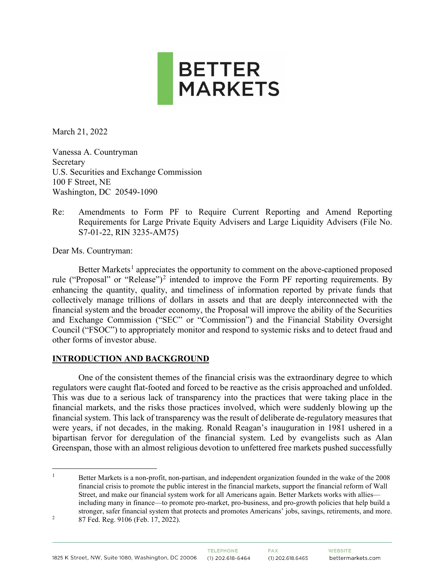

March 21, 2022

Vanessa A. Countryman Secretary U.S. Securities and Exchange Commission 100 F Street, NE Washington, DC 20549-1090

Re: Amendments to Form PF to Require Current Reporting and Amend Reporting Requirements for Large Private Equity Advisers and Large Liquidity Advisers (File No. S7-01-22, RIN 3235-AM75)

Dear Ms. Countryman:

Better Markets<sup>[1](#page-0-0)</sup> appreciates the opportunity to comment on the above-captioned proposed rule ("Proposal" or "Release")<sup>[2](#page-0-1)</sup> intended to improve the Form PF reporting requirements. By enhancing the quantity, quality, and timeliness of information reported by private funds that collectively manage trillions of dollars in assets and that are deeply interconnected with the financial system and the broader economy, the Proposal will improve the ability of the Securities and Exchange Commission ("SEC" or "Commission") and the Financial Stability Oversight Council ("FSOC") to appropriately monitor and respond to systemic risks and to detect fraud and other forms of investor abuse.

#### **INTRODUCTION AND BACKGROUND**

One of the consistent themes of the financial crisis was the extraordinary degree to which regulators were caught flat-footed and forced to be reactive as the crisis approached and unfolded. This was due to a serious lack of transparency into the practices that were taking place in the financial markets, and the risks those practices involved, which were suddenly blowing up the financial system. This lack of transparency was the result of deliberate de-regulatory measures that were years, if not decades, in the making. Ronald Reagan's inauguration in 1981 ushered in a bipartisan fervor for deregulation of the financial system. Led by evangelists such as Alan Greenspan, those with an almost religious devotion to unfettered free markets pushed successfully

<span id="page-0-1"></span><span id="page-0-0"></span>1 Better Markets is a non-profit, non-partisan, and independent organization founded in the wake of the 2008 financial crisis to promote the public interest in the financial markets, support the financial reform of Wall Street, and make our financial system work for all Americans again. Better Markets works with allies including many in finance—to promote pro-market, pro-business, and pro-growth policies that help build a stronger, safer financial system that protects and promotes Americans' jobs, savings, retirements, and more. 2 87 Fed. Reg. 9106 (Feb. 17, 2022).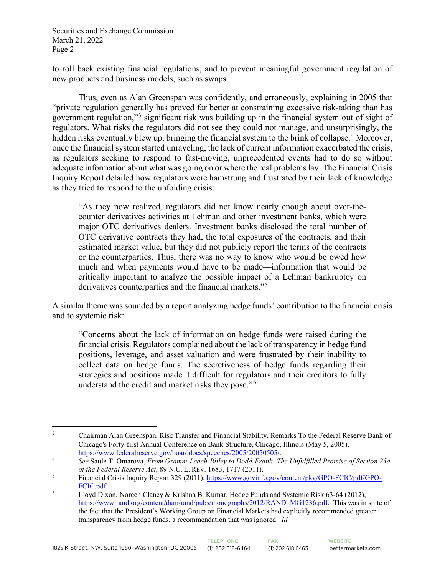to roll back existing financial regulations, and to prevent meaningful government regulation of new products and business models, such as swaps.

Thus, even as Alan Greenspan was confidently, and erroneously, explaining in 2005 that "private regulation generally has proved far better at constraining excessive risk-taking than has government regulation,"[3](#page-1-0) significant risk was building up in the financial system out of sight of regulators. What risks the regulators did not see they could not manage, and unsurprisingly, the hidden risks eventually blew up, bringing the financial system to the brink of collapse.<sup>[4](#page-1-1)</sup> Moreover, once the financial system started unraveling, the lack of current information exacerbated the crisis, as regulators seeking to respond to fast-moving, unprecedented events had to do so without adequate information about what was going on or where the real problems lay. The Financial Crisis Inquiry Report detailed how regulators were hamstrung and frustrated by their lack of knowledge as they tried to respond to the unfolding crisis:

"As they now realized, regulators did not know nearly enough about over-thecounter derivatives activities at Lehman and other investment banks, which were major OTC derivatives dealers. Investment banks disclosed the total number of OTC derivative contracts they had, the total exposures of the contracts, and their estimated market value, but they did not publicly report the terms of the contracts or the counterparties. Thus, there was no way to know who would be owed how much and when payments would have to be made—information that would be critically important to analyze the possible impact of a Lehman bankruptcy on derivatives counterparties and the financial markets."<sup>[5](#page-1-2)</sup>

A similar theme was sounded by a report analyzing hedge funds' contribution to the financial crisis and to systemic risk:

"Concerns about the lack of information on hedge funds were raised during the financial crisis. Regulators complained about the lack of transparency in hedge fund positions, leverage, and asset valuation and were frustrated by their inability to collect data on hedge funds. The secretiveness of hedge funds regarding their strategies and positions made it difficult for regulators and their creditors to fully understand the credit and market risks they pose."[6](#page-1-3)

<span id="page-1-0"></span><sup>3</sup> Chairman Alan Greenspan, Risk Transfer and Financial Stability, Remarks To the Federal Reserve Bank of Chicago's Forty-first Annual Conference on Bank Structure, Chicago, Illinois (May 5, 2005), [https://www.federalreserve.gov/boarddocs/speeches/2005/20050505/.](https://www.federalreserve.gov/boarddocs/speeches/2005/20050505/)

<span id="page-1-1"></span><sup>4</sup> *See* Saule T. Omarova, *From Gramm-Leach-Bliley to Dodd-Frank: The Unfulfilled Promise of Section 23a of the Federal Reserve Act*, 89 N.C. L. REV. 1683, 1717 (2011).

<span id="page-1-2"></span><sup>5</sup> Financial Crisis Inquiry Report 329 (2011), [https://www.govinfo.gov/content/pkg/GPO-FCIC/pdf/GPO-](https://www.govinfo.gov/content/pkg/GPO-FCIC/pdf/GPO-FCIC.pdf)

<span id="page-1-3"></span>[FCIC.pdf.](https://www.govinfo.gov/content/pkg/GPO-FCIC/pdf/GPO-FCIC.pdf)<br><sup>6</sup> Lloyd Dixon, Noreen Clancy & Krishna B. Kumar, Hedge Funds and Systemic Risk 63-64 (2012), [https://www.rand.org/content/dam/rand/pubs/monographs/2012/RAND\\_MG1236.pdf.](https://www.rand.org/content/dam/rand/pubs/monographs/2012/RAND_MG1236.pdf) This was in spite of the fact that the President's Working Group on Financial Markets had explicitly recommended greater transparency from hedge funds, a recommendation that was ignored. *Id.*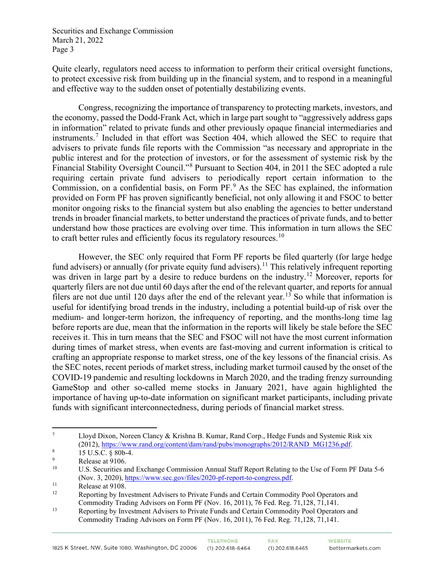Quite clearly, regulators need access to information to perform their critical oversight functions, to protect excessive risk from building up in the financial system, and to respond in a meaningful and effective way to the sudden onset of potentially destabilizing events.

Congress, recognizing the importance of transparency to protecting markets, investors, and the economy, passed the Dodd-Frank Act, which in large part sought to "aggressively address gaps in information" related to private funds and other previously opaque financial intermediaries and instruments.[7](#page-2-0) Included in that effort was Section 404, which allowed the SEC to require that advisers to private funds file reports with the Commission "as necessary and appropriate in the public interest and for the protection of investors, or for the assessment of systemic risk by the Financial Stability Oversight Council."[8](#page-2-1) Pursuant to Section 404, in 2011 the SEC adopted a rule requiring certain private fund advisers to periodically report certain information to the Commission, on a confidential basis, on Form PF.[9](#page-2-2) As the SEC has explained, the information provided on Form PF has proven significantly beneficial, not only allowing it and FSOC to better monitor ongoing risks to the financial system but also enabling the agencies to better understand trends in broader financial markets, to better understand the practices of private funds, and to better understand how those practices are evolving over time. This information in turn allows the SEC to craft better rules and efficiently focus its regulatory resources.<sup>[10](#page-2-3)</sup>

 However, the SEC only required that Form PF reports be filed quarterly (for large hedge fund advisers) or annually (for private equity fund advisers).<sup>[11](#page-2-4)</sup> This relatively infrequent reporting was driven in large part by a desire to reduce burdens on the industry.<sup>[12](#page-2-5)</sup> Moreover, reports for quarterly filers are not due until 60 days after the end of the relevant quarter, and reports for annual filers are not due until 120 days after the end of the relevant year.<sup>[13](#page-2-6)</sup> So while that information is useful for identifying broad trends in the industry, including a potential build-up of risk over the medium- and longer-term horizon, the infrequency of reporting, and the months-long time lag before reports are due, mean that the information in the reports will likely be stale before the SEC receives it. This in turn means that the SEC and FSOC will not have the most current information during times of market stress, when events are fast-moving and current information is critical to crafting an appropriate response to market stress, one of the key lessons of the financial crisis. As the SEC notes, recent periods of market stress, including market turmoil caused by the onset of the COVID-19 pandemic and resulting lockdowns in March 2020, and the trading frenzy surrounding GameStop and other so-called meme stocks in January 2021, have again highlighted the importance of having up-to-date information on significant market participants, including private funds with significant interconnectedness, during periods of financial market stress.

<span id="page-2-0"></span><sup>7</sup> Lloyd Dixon, Noreen Clancy & Krishna B. Kumar, Rand Corp., Hedge Funds and Systemic Risk xix  $(2012)$ ,  $\frac{https://www.random/content/dam/rand/pubs/monographs/2012/RAND_MG1236.pdf}{15 \text{ US } C \text{ s} 80\text{ h} A}$ 

<span id="page-2-1"></span> <sup>15</sup> U.S.C. § 80b-4.

<span id="page-2-2"></span><sup>9</sup>  $R$ elease at 9106.

<span id="page-2-3"></span><sup>10</sup> U.S. Securities and Exchange Commission Annual Staff Report Relating to the Use of Form PF Data 5-6 (Nov. 3, 2020), [https://www.sec.gov/files/2020-pf-report-to-congress.pdf.](https://www.sec.gov/files/2020-pf-report-to-congress.pdf)<br>
Release at 9108.<br>
Reporting by Investment Advisers to Private Funds and Certain Commodi

<span id="page-2-4"></span>

<span id="page-2-5"></span>Reporting by Investment Advisers to Private Funds and Certain Commodity Pool Operators and Commodity Trading Advisors on Form PF (Nov. 16, 2011), 76 Fed. Reg. 71,128, 71,141.

<span id="page-2-6"></span><sup>&</sup>lt;sup>13</sup> Reporting by Investment Advisers to Private Funds and Certain Commodity Pool Operators and Commodity Trading Advisors on Form PF (Nov. 16, 2011), 76 Fed. Reg. 71,128, 71,141.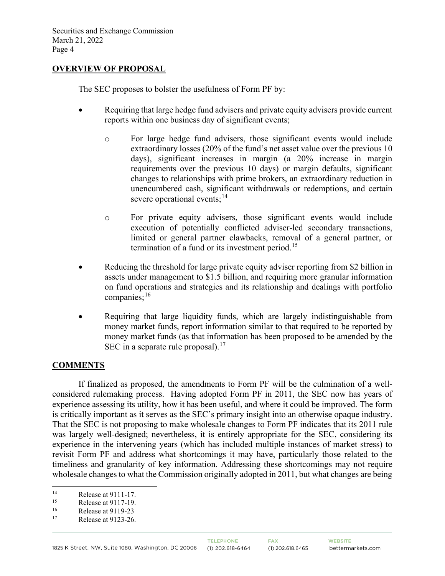#### **OVERVIEW OF PROPOSAL**

The SEC proposes to bolster the usefulness of Form PF by:

- Requiring that large hedge fund advisers and private equity advisers provide current reports within one business day of significant events;
	- o For large hedge fund advisers, those significant events would include extraordinary losses (20% of the fund's net asset value over the previous 10 days), significant increases in margin (a 20% increase in margin requirements over the previous 10 days) or margin defaults, significant changes to relationships with prime brokers, an extraordinary reduction in unencumbered cash, significant withdrawals or redemptions, and certain severe operational events;  $14$
	- o For private equity advisers, those significant events would include execution of potentially conflicted adviser-led secondary transactions, limited or general partner clawbacks, removal of a general partner, or termination of a fund or its investment period.<sup>[15](#page-3-1)</sup>
- Reducing the threshold for large private equity adviser reporting from \$2 billion in assets under management to \$1.5 billion, and requiring more granular information on fund operations and strategies and its relationship and dealings with portfolio companies;<sup>[16](#page-3-2)</sup>
- Requiring that large liquidity funds, which are largely indistinguishable from money market funds, report information similar to that required to be reported by money market funds (as that information has been proposed to be amended by the SEC in a separate rule proposal).<sup>[17](#page-3-3)</sup>

#### **COMMENTS**

If finalized as proposed, the amendments to Form PF will be the culmination of a wellconsidered rulemaking process. Having adopted Form PF in 2011, the SEC now has years of experience assessing its utility, how it has been useful, and where it could be improved. The form is critically important as it serves as the SEC's primary insight into an otherwise opaque industry. That the SEC is not proposing to make wholesale changes to Form PF indicates that its 2011 rule was largely well-designed; nevertheless, it is entirely appropriate for the SEC, considering its experience in the intervening years (which has included multiple instances of market stress) to revisit Form PF and address what shortcomings it may have, particularly those related to the timeliness and granularity of key information. Addressing these shortcomings may not require wholesale changes to what the Commission originally adopted in 2011, but what changes are being

<span id="page-3-0"></span><sup>&</sup>lt;sup>14</sup> Release at 9111-17.<br><sup>15</sup> Polesce at 0117-10

<span id="page-3-1"></span><sup>&</sup>lt;sup>15</sup> Release at 9117-19.<br> $\frac{16}{2}$  Release at 0110.22

<span id="page-3-3"></span><span id="page-3-2"></span> $^{16}$  Release at 9119-23<br> $^{17}$  Release at 9123.26

Release at 9123-26.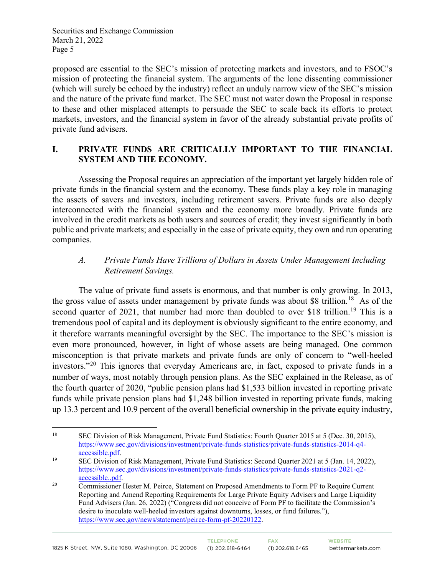proposed are essential to the SEC's mission of protecting markets and investors, and to FSOC's mission of protecting the financial system. The arguments of the lone dissenting commissioner (which will surely be echoed by the industry) reflect an unduly narrow view of the SEC's mission and the nature of the private fund market. The SEC must not water down the Proposal in response to these and other misplaced attempts to persuade the SEC to scale back its efforts to protect markets, investors, and the financial system in favor of the already substantial private profits of private fund advisers.

#### **I. PRIVATE FUNDS ARE CRITICALLY IMPORTANT TO THE FINANCIAL SYSTEM AND THE ECONOMY.**

Assessing the Proposal requires an appreciation of the important yet largely hidden role of private funds in the financial system and the economy. These funds play a key role in managing the assets of savers and investors, including retirement savers. Private funds are also deeply interconnected with the financial system and the economy more broadly. Private funds are involved in the credit markets as both users and sources of credit; they invest significantly in both public and private markets; and especially in the case of private equity, they own and run operating companies.

# *A. Private Funds Have Trillions of Dollars in Assets Under Management Including Retirement Savings.*

The value of private fund assets is enormous, and that number is only growing. In 2013, the gross value of assets under management by private funds was about \$8 trillion.<sup>[18](#page-4-0)</sup> As of the second quarter of 2021, that number had more than doubled to over \$18 trillion.<sup>[19](#page-4-1)</sup> This is a tremendous pool of capital and its deployment is obviously significant to the entire economy, and it therefore warrants meaningful oversight by the SEC. The importance to the SEC's mission is even more pronounced, however, in light of whose assets are being managed. One common misconception is that private markets and private funds are only of concern to "well-heeled investors."[20](#page-4-2) This ignores that everyday Americans are, in fact, exposed to private funds in a number of ways, most notably through pension plans. As the SEC explained in the Release, as of the fourth quarter of 2020, "public pension plans had \$1,533 billion invested in reporting private funds while private pension plans had \$1,248 billion invested in reporting private funds, making up 13.3 percent and 10.9 percent of the overall beneficial ownership in the private equity industry,

<span id="page-4-0"></span><sup>&</sup>lt;sup>18</sup> SEC Division of Risk Management, Private Fund Statistics: Fourth Quarter 2015 at 5 (Dec. 30, 2015), [https://www.sec.gov/divisions/investment/private-funds-statistics/private-funds-statistics-2014-q4-](https://www.sec.gov/divisions/investment/private-funds-statistics/private-funds-statistics-2014-q4-accessible.pdf)<br>accessible.pdf.

<span id="page-4-1"></span><sup>&</sup>lt;sup>19</sup> SEC Division of Risk Management, Private Fund Statistics: Second Quarter 2021 at 5 (Jan. 14, 2022), [https://www.sec.gov/divisions/investment/private-funds-statistics/private-funds-statistics-2021-q2](https://www.sec.gov/divisions/investment/private-funds-statistics/private-funds-statistics-2021-q2-accessible..pdf) [accessible..pdf.](https://www.sec.gov/divisions/investment/private-funds-statistics/private-funds-statistics-2021-q2-accessible..pdf)<br><sup>20</sup> Commissioner Hester M. Peirce, Statement on Proposed Amendments to Form PF to Require Current

<span id="page-4-2"></span>Reporting and Amend Reporting Requirements for Large Private Equity Advisers and Large Liquidity Fund Advisers (Jan. 26, 2022) ("Congress did not conceive of Form PF to facilitate the Commission's desire to inoculate well-heeled investors against downturns, losses, or fund failures."), [https://www.sec.gov/news/statement/peirce-form-pf-20220122.](https://www.sec.gov/news/statement/peirce-form-pf-20220122)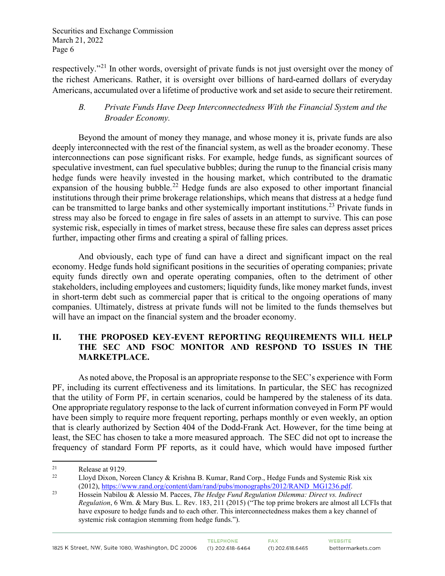respectively."[21](#page-5-0) In other words, oversight of private funds is not just oversight over the money of the richest Americans. Rather, it is oversight over billions of hard-earned dollars of everyday Americans, accumulated over a lifetime of productive work and set aside to secure their retirement.

### *B. Private Funds Have Deep Interconnectedness With the Financial System and the Broader Economy.*

Beyond the amount of money they manage, and whose money it is, private funds are also deeply interconnected with the rest of the financial system, as well as the broader economy. These interconnections can pose significant risks. For example, hedge funds, as significant sources of speculative investment, can fuel speculative bubbles; during the runup to the financial crisis many hedge funds were heavily invested in the housing market, which contributed to the dramatic expansion of the housing bubble.<sup>[22](#page-5-1)</sup> Hedge funds are also exposed to other important financial institutions through their prime brokerage relationships, which means that distress at a hedge fund can be transmitted to large banks and other systemically important institutions.<sup>[23](#page-5-2)</sup> Private funds in stress may also be forced to engage in fire sales of assets in an attempt to survive. This can pose systemic risk, especially in times of market stress, because these fire sales can depress asset prices further, impacting other firms and creating a spiral of falling prices.

And obviously, each type of fund can have a direct and significant impact on the real economy. Hedge funds hold significant positions in the securities of operating companies; private equity funds directly own and operate operating companies, often to the detriment of other stakeholders, including employees and customers; liquidity funds, like money market funds, invest in short-term debt such as commercial paper that is critical to the ongoing operations of many companies. Ultimately, distress at private funds will not be limited to the funds themselves but will have an impact on the financial system and the broader economy.

## **II. THE PROPOSED KEY-EVENT REPORTING REQUIREMENTS WILL HELP THE SEC AND FSOC MONITOR AND RESPOND TO ISSUES IN THE MARKETPLACE.**

As noted above, the Proposal is an appropriate response to the SEC's experience with Form PF, including its current effectiveness and its limitations. In particular, the SEC has recognized that the utility of Form PF, in certain scenarios, could be hampered by the staleness of its data. One appropriate regulatory response to the lack of current information conveyed in Form PF would have been simply to require more frequent reporting, perhaps monthly or even weekly, an option that is clearly authorized by Section 404 of the Dodd-Frank Act. However, for the time being at least, the SEC has chosen to take a more measured approach. The SEC did not opt to increase the frequency of standard Form PF reports, as it could have, which would have imposed further

<span id="page-5-0"></span><sup>&</sup>lt;sup>21</sup> Release at 9129.<br> $\frac{122}{1 \text{ log d}} \frac{129}{1 \text{ log d}}$ 

<span id="page-5-1"></span>Lloyd Dixon, Noreen Clancy & Krishna B. Kumar, Rand Corp., Hedge Funds and Systemic Risk xix (2012)[, https://www.rand.org/content/dam/rand/pubs/monographs/2012/RAND\\_MG1236.pdf.](https://www.rand.org/content/dam/rand/pubs/monographs/2012/RAND_MG1236.pdf) 23 Hossein Nabilou & Alessio M. Pacces, *The Hedge Fund Regulation Dilemma: Direct vs. Indirect* 

<span id="page-5-2"></span>*Regulation*, 6 Wm. & Mary Bus. L. Rev. 183, 211 (2015) ("The top prime brokers are almost all LCFIs that have exposure to hedge funds and to each other. This interconnectedness makes them a key channel of systemic risk contagion stemming from hedge funds.").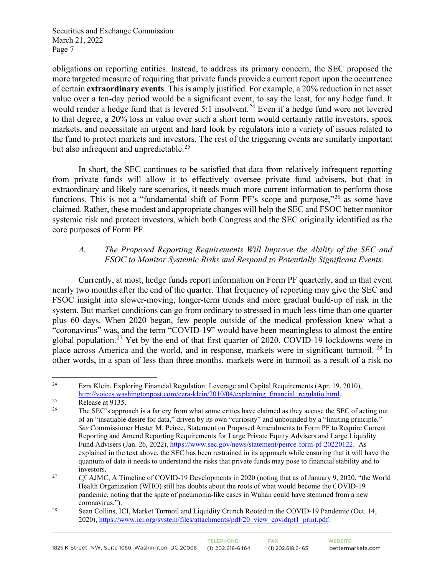obligations on reporting entities. Instead, to address its primary concern, the SEC proposed the more targeted measure of requiring that private funds provide a current report upon the occurrence of certain **extraordinary events**. This is amply justified. For example, a 20% reduction in net asset value over a ten-day period would be a significant event, to say the least, for any hedge fund. It would render a hedge fund that is levered 5:1 insolvent.<sup>[24](#page-6-0)</sup> Even if a hedge fund were not levered to that degree, a 20% loss in value over such a short term would certainly rattle investors, spook markets, and necessitate an urgent and hard look by regulators into a variety of issues related to the fund to protect markets and investors. The rest of the triggering events are similarly important but also infrequent and unpredictable.<sup>[25](#page-6-1)</sup>

In short, the SEC continues to be satisfied that data from relatively infrequent reporting from private funds will allow it to effectively oversee private fund advisers, but that in extraordinary and likely rare scenarios, it needs much more current information to perform those functions. This is not a "fundamental shift of Form PF's scope and purpose," $^{26}$  $^{26}$  $^{26}$  as some have claimed. Rather, these modest and appropriate changes will help the SEC and FSOC better monitor systemic risk and protect investors, which both Congress and the SEC originally identified as the core purposes of Form PF.

## *A. The Proposed Reporting Requirements Will Improve the Ability of the SEC and FSOC to Monitor Systemic Risks and Respond to Potentially Significant Events.*

Currently, at most, hedge funds report information on Form PF quarterly, and in that event nearly two months after the end of the quarter. That frequency of reporting may give the SEC and FSOC insight into slower-moving, longer-term trends and more gradual build-up of risk in the system. But market conditions can go from ordinary to stressed in much less time than one quarter plus 60 days. When 2020 began, few people outside of the medical profession knew what a "coronavirus" was, and the term "COVID-19" would have been meaningless to almost the entire global population.[27](#page-6-3) Yet by the end of that first quarter of 2020, COVID-19 lockdowns were in place across America and the world, and in response, markets were in significant turmoil. [28](#page-6-4) In other words, in a span of less than three months, markets were in turmoil as a result of a risk no

<span id="page-6-0"></span><sup>&</sup>lt;sup>24</sup> Ezra Klein, Exploring Financial Regulation: Leverage and Capital Requirements (Apr. 19, 2010), [http://voices.washingtonpost.com/ezra-klein/2010/04/explaining\\_financial\\_regulatio.html.](http://voices.washingtonpost.com/ezra-klein/2010/04/explaining_financial_regulatio.html)<br>Release at 9135.<br><sup>26</sup> The SEC's annuase is a feature from what some exities have alguned as they assume the SI

<span id="page-6-1"></span>

<span id="page-6-2"></span><sup>26</sup> The SEC's approach is a far cry from what some critics have claimed as they accuse the SEC of acting out of an "insatiable desire for data," driven by its own "curiosity" and unbounded by a "limiting principle." *See* Commissioner Hester M. Peirce, Statement on Proposed Amendments to Form PF to Require Current Reporting and Amend Reporting Requirements for Large Private Equity Advisers and Large Liquidity Fund Advisers (Jan. 26, 2022), [https://www.sec.gov/news/statement/peirce-form-pf-20220122.](https://www.sec.gov/news/statement/peirce-form-pf-20220122) As explained in the text above, the SEC has been restrained in its approach while ensuring that it will have the quantum of data it needs to understand the risks that private funds may pose to financial stability and to investors.<br><sup>27</sup> *Cf.* AJMC, A Timeline of COVID-19 Developments in 2020 (noting that as of January 9, 2020, "the World

<span id="page-6-3"></span>Health Organization (WHO) still has doubts about the roots of what would become the COVID-19 pandemic, noting that the spate of pneumonia-like cases in Wuhan could have stemmed from a new coronavirus.").

<span id="page-6-4"></span><sup>&</sup>lt;sup>28</sup> Sean Collins, ICI, Market Turmoil and Liquidity Crunch Rooted in the COVID-19 Pandemic (Oct. 14, 2020), [https://www.ici.org/system/files/attachments/pdf/20\\_view\\_covidrpt1\\_print.pdf.](https://www.ici.org/system/files/attachments/pdf/20_view_covidrpt1_print.pdf)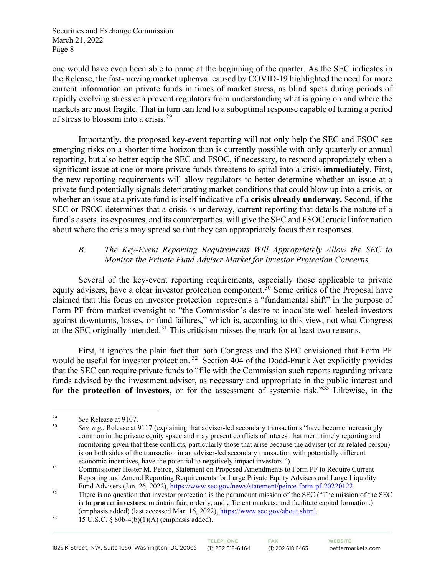one would have even been able to name at the beginning of the quarter. As the SEC indicates in the Release, the fast-moving market upheaval caused by COVID-19 highlighted the need for more current information on private funds in times of market stress, as blind spots during periods of rapidly evolving stress can prevent regulators from understanding what is going on and where the markets are most fragile. That in turn can lead to a suboptimal response capable of turning a period of stress to blossom into a crisis.[29](#page-7-0)

Importantly, the proposed key-event reporting will not only help the SEC and FSOC see emerging risks on a shorter time horizon than is currently possible with only quarterly or annual reporting, but also better equip the SEC and FSOC, if necessary, to respond appropriately when a significant issue at one or more private funds threatens to spiral into a crisis **immediately**. First, the new reporting requirements will allow regulators to better determine whether an issue at a private fund potentially signals deteriorating market conditions that could blow up into a crisis, or whether an issue at a private fund is itself indicative of a **crisis already underway.** Second, if the SEC or FSOC determines that a crisis is underway, current reporting that details the nature of a fund's assets, its exposures, and its counterparties, will give the SEC and FSOC crucial information about where the crisis may spread so that they can appropriately focus their responses.

### *B. The Key-Event Reporting Requirements Will Appropriately Allow the SEC to Monitor the Private Fund Adviser Market for Investor Protection Concerns.*

Several of the key-event reporting requirements, especially those applicable to private equity advisers, have a clear investor protection component.<sup>30</sup> Some critics of the Proposal have claimed that this focus on investor protection represents a "fundamental shift" in the purpose of Form PF from market oversight to "the Commission's desire to inoculate well-heeled investors against downturns, losses, or fund failures," which is, according to this view, not what Congress or the SEC originally intended.<sup>[31](#page-7-2)</sup> This criticism misses the mark for at least two reasons.

First, it ignores the plain fact that both Congress and the SEC envisioned that Form PF would be useful for investor protection.<sup>[32](#page-7-3)</sup> Section 404 of the Dodd-Frank Act explicitly provides that the SEC can require private funds to "file with the Commission such reports regarding private funds advised by the investment adviser, as necessary and appropriate in the public interest and for the protection of investors, or for the assessment of systemic risk."<sup>[33](#page-7-4)</sup> Likewise, in the

<span id="page-7-1"></span><span id="page-7-0"></span><sup>&</sup>lt;sup>29</sup> *See* Release at 9107.

See, e.g., Release at 9117 (explaining that adviser-led secondary transactions "have become increasingly" common in the private equity space and may present conflicts of interest that merit timely reporting and monitoring given that these conflicts, particularly those that arise because the adviser (or its related person) is on both sides of the transaction in an adviser-led secondary transaction with potentially different economic incentives, have the potential to negatively impact investors.").

<span id="page-7-2"></span><sup>&</sup>lt;sup>31</sup> Commissioner Hester M. Peirce, Statement on Proposed Amendments to Form PF to Require Current Reporting and Amend Reporting Requirements for Large Private Equity Advisers and Large Liquidity Fund Advisers (Jan. 26, 2022), [https://www.sec.gov/news/statement/peirce-form-pf-20220122.](https://www.sec.gov/news/statement/peirce-form-pf-20220122)<br>32 There is no question that investor protection is the paramount mission of the SEC ("The mission of the SEC

<span id="page-7-3"></span>is **to protect investors**; maintain fair, orderly, and efficient markets; and facilitate capital formation.) (emphasis added) (last accessed Mar. 16, 2022), [https://www.sec.gov/about.shtml.](https://www.sec.gov/about.shtml)<br>
33 15 U.S.C. § 80b-4(b)(1)(A) (emphasis added).

<span id="page-7-4"></span>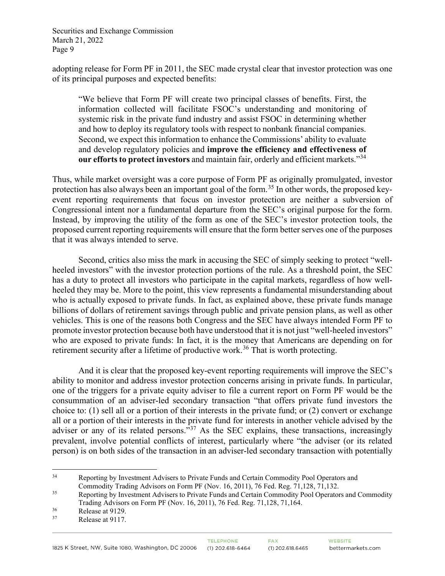adopting release for Form PF in 2011, the SEC made crystal clear that investor protection was one of its principal purposes and expected benefits:

"We believe that Form PF will create two principal classes of benefits. First, the information collected will facilitate FSOC's understanding and monitoring of systemic risk in the private fund industry and assist FSOC in determining whether and how to deploy its regulatory tools with respect to nonbank financial companies. Second, we expect this information to enhance the Commissions' ability to evaluate and develop regulatory policies and **improve the efficiency and effectiveness of our efforts to protect investors** and maintain fair, orderly and efficient markets."[34](#page-8-0)

Thus, while market oversight was a core purpose of Form PF as originally promulgated, investor protection has also always been an important goal of the form.<sup>[35](#page-8-1)</sup> In other words, the proposed keyevent reporting requirements that focus on investor protection are neither a subversion of Congressional intent nor a fundamental departure from the SEC's original purpose for the form. Instead, by improving the utility of the form as one of the SEC's investor protection tools, the proposed current reporting requirements will ensure that the form better serves one of the purposes that it was always intended to serve.

Second, critics also miss the mark in accusing the SEC of simply seeking to protect "wellheeled investors" with the investor protection portions of the rule. As a threshold point, the SEC has a duty to protect all investors who participate in the capital markets, regardless of how wellheeled they may be. More to the point, this view represents a fundamental misunderstanding about who is actually exposed to private funds. In fact, as explained above, these private funds manage billions of dollars of retirement savings through public and private pension plans, as well as other vehicles. This is one of the reasons both Congress and the SEC have always intended Form PF to promote investor protection because both have understood that it is not just "well-heeled investors" who are exposed to private funds: In fact, it is the money that Americans are depending on for retirement security after a lifetime of productive work.<sup>[36](#page-8-2)</sup> That is worth protecting.

And it is clear that the proposed key-event reporting requirements will improve the SEC's ability to monitor and address investor protection concerns arising in private funds. In particular, one of the triggers for a private equity adviser to file a current report on Form PF would be the consummation of an adviser-led secondary transaction "that offers private fund investors the choice to: (1) sell all or a portion of their interests in the private fund; or (2) convert or exchange all or a portion of their interests in the private fund for interests in another vehicle advised by the adviser or any of its related persons."<sup>[37](#page-8-3)</sup> As the SEC explains, these transactions, increasingly prevalent, involve potential conflicts of interest, particularly where "the adviser (or its related person) is on both sides of the transaction in an adviser-led secondary transaction with potentially

<span id="page-8-0"></span><sup>&</sup>lt;sup>34</sup> Reporting by Investment Advisers to Private Funds and Certain Commodity Pool Operators and Commodity Trading Advisors on Form PF (Nov. 16, 2011), 76 Fed. Reg. 71,128, 71,132.

<span id="page-8-1"></span><sup>&</sup>lt;sup>35</sup> Reporting by Investment Advisers to Private Funds and Certain Commodity Pool Operators and Commodity Trading Advisors on Form PF (Nov. 16, 2011), 76 Fed. Reg. 71,128, 71,164.

<span id="page-8-3"></span><span id="page-8-2"></span> $rac{36}{37}$  Release at 9129.

Release at 9117.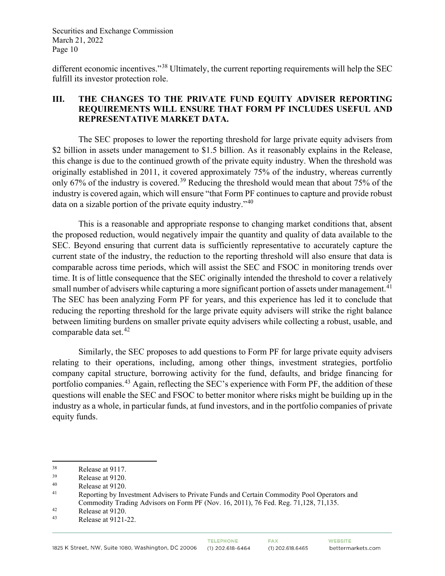different economic incentives."[38](#page-9-0) Ultimately, the current reporting requirements will help the SEC fulfill its investor protection role.

## **III. THE CHANGES TO THE PRIVATE FUND EQUITY ADVISER REPORTING REQUIREMENTS WILL ENSURE THAT FORM PF INCLUDES USEFUL AND REPRESENTATIVE MARKET DATA.**

The SEC proposes to lower the reporting threshold for large private equity advisers from \$2 billion in assets under management to \$1.5 billion. As it reasonably explains in the Release, this change is due to the continued growth of the private equity industry. When the threshold was originally established in 2011, it covered approximately 75% of the industry, whereas currently only 67% of the industry is covered.<sup>[39](#page-9-1)</sup> Reducing the threshold would mean that about 75% of the industry is covered again, which will ensure "that Form PF continues to capture and provide robust data on a sizable portion of the private equity industry."[40](#page-9-2) 

This is a reasonable and appropriate response to changing market conditions that, absent the proposed reduction, would negatively impair the quantity and quality of data available to the SEC. Beyond ensuring that current data is sufficiently representative to accurately capture the current state of the industry, the reduction to the reporting threshold will also ensure that data is comparable across time periods, which will assist the SEC and FSOC in monitoring trends over time. It is of little consequence that the SEC originally intended the threshold to cover a relatively small number of advisers while capturing a more significant portion of assets under management.<sup>[41](#page-9-3)</sup> The SEC has been analyzing Form PF for years, and this experience has led it to conclude that reducing the reporting threshold for the large private equity advisers will strike the right balance between limiting burdens on smaller private equity advisers while collecting a robust, usable, and comparable data set. $42$ 

Similarly, the SEC proposes to add questions to Form PF for large private equity advisers relating to their operations, including, among other things, investment strategies, portfolio company capital structure, borrowing activity for the fund, defaults, and bridge financing for portfolio companies.<sup>[43](#page-9-5)</sup> Again, reflecting the SEC's experience with Form PF, the addition of these questions will enable the SEC and FSOC to better monitor where risks might be building up in the industry as a whole, in particular funds, at fund investors, and in the portfolio companies of private equity funds.

<span id="page-9-0"></span> $\frac{38}{39}$  Release at 9117.

<span id="page-9-1"></span> $R$ elease at 9120.

<span id="page-9-2"></span> $^{40}$  Release at 9120.

<span id="page-9-3"></span>Reporting by Investment Advisers to Private Funds and Certain Commodity Pool Operators and Commodity Trading Advisors on Form PF (Nov. 16, 2011), 76 Fed. Reg. 71,128, 71,135.

<span id="page-9-4"></span> $R$ elease at 9120.

<span id="page-9-5"></span>Release at 9121-22.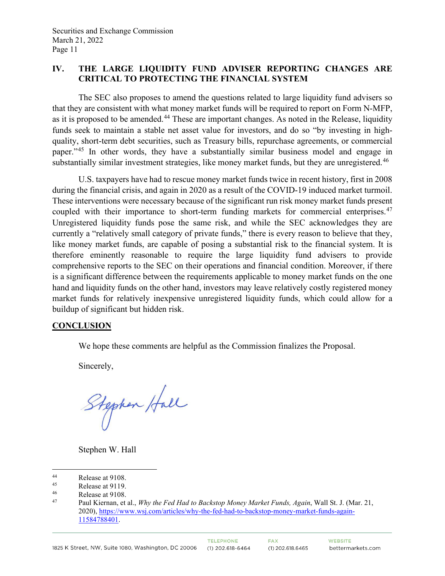## **IV. THE LARGE LIQUIDITY FUND ADVISER REPORTING CHANGES ARE CRITICAL TO PROTECTING THE FINANCIAL SYSTEM**

The SEC also proposes to amend the questions related to large liquidity fund advisers so that they are consistent with what money market funds will be required to report on Form N-MFP, as it is proposed to be amended.<sup>[44](#page-10-0)</sup> These are important changes. As noted in the Release, liquidity funds seek to maintain a stable net asset value for investors, and do so "by investing in highquality, short-term debt securities, such as Treasury bills, repurchase agreements, or commercial paper."[45](#page-10-1) In other words, they have a substantially similar business model and engage in substantially similar investment strategies, like money market funds, but they are unregistered.<sup>[46](#page-10-2)</sup>

U.S. taxpayers have had to rescue money market funds twice in recent history, first in 2008 during the financial crisis, and again in 2020 as a result of the COVID-19 induced market turmoil. These interventions were necessary because of the significant run risk money market funds present coupled with their importance to short-term funding markets for commercial enterprises.<sup>[47](#page-10-3)</sup> Unregistered liquidity funds pose the same risk, and while the SEC acknowledges they are currently a "relatively small category of private funds," there is every reason to believe that they, like money market funds, are capable of posing a substantial risk to the financial system. It is therefore eminently reasonable to require the large liquidity fund advisers to provide comprehensive reports to the SEC on their operations and financial condition. Moreover, if there is a significant difference between the requirements applicable to money market funds on the one hand and liquidity funds on the other hand, investors may leave relatively costly registered money market funds for relatively inexpensive unregistered liquidity funds, which could allow for a buildup of significant but hidden risk.

#### **CONCLUSION**

We hope these comments are helpful as the Commission finalizes the Proposal.

Sincerely,

Stephen Hall

Stephen W. Hall

<span id="page-10-0"></span><sup>44</sup> Release at 9108.<br> $\frac{45}{2}$  Release at 9110

<span id="page-10-1"></span><sup>&</sup>lt;sup>45</sup> Release at 9119.<br><sup>46</sup> Release at 9108

<span id="page-10-2"></span> $^{46}$  Release at 9108.

<span id="page-10-3"></span><sup>47</sup> Paul Kiernan, et al., *Why the Fed Had to Backstop Money Market Funds, Again*, Wall St. J. (Mar. 21, 2020), [https://www.wsj.com/articles/why-the-fed-had-to-backstop-money-market-funds-again-](https://www.wsj.com/articles/why-the-fed-had-to-backstop-money-market-funds-again-11584788401)[11584788401.](https://www.wsj.com/articles/why-the-fed-had-to-backstop-money-market-funds-again-11584788401)